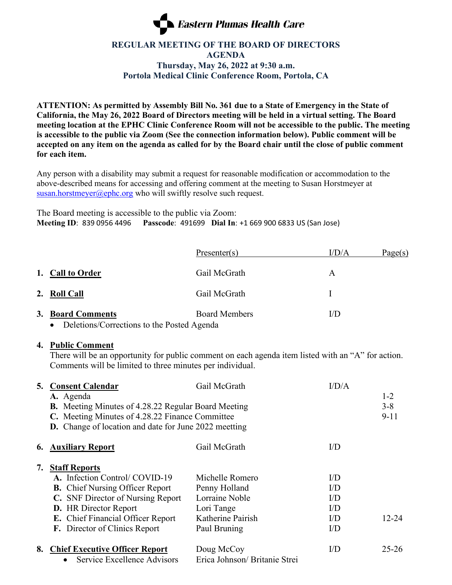

## **REGULAR MEETING OF THE BOARD OF DIRECTORS AGENDA Thursday, May 26, 2022 at 9:30 a.m. Portola Medical Clinic Conference Room, Portola, CA**

**ATTENTION: As permitted by Assembly Bill No. 361 due to a State of Emergency in the State of California, the May 26, 2022 Board of Directors meeting will be held in a virtual setting. The Board meeting location at the EPHC Clinic Conference Room will not be accessible to the public. The meeting is accessible to the public via Zoom (See the connection information below). Public comment will be accepted on any item on the agenda as called for by the Board chair until the close of public comment for each item.**

Any person with a disability may submit a request for reasonable modification or accommodation to the above-described means for accessing and offering comment at the meeting to Susan Horstmeyer at [susan.horstmeyer@ephc.org](mailto:susan.horstmeyer@ephc.org) who will swiftly resolve such request.

The Board meeting is accessible to the public via Zoom: **Meeting ID**: 839 0956 4496 **Passcode**: 491699 **Dial In**: +1 669 900 6833 US (San Jose)

|                                                                              | Presenter(s)         | I/D/A     | Page(s) |
|------------------------------------------------------------------------------|----------------------|-----------|---------|
| 1. Call to Order                                                             | Gail McGrath         | A         |         |
| 2. Roll Call                                                                 | Gail McGrath         |           |         |
| 3. Board Comments<br>Deletions/Corrections to the Posted Agenda<br>$\bullet$ | <b>Board Members</b> | $\rm{UD}$ |         |

## **4. Public Comment**

There will be an opportunity for public comment on each agenda item listed with an "A" for action. Comments will be limited to three minutes per individual.

| 5.            | <b>Consent Calendar</b><br>A. Agenda<br><b>B.</b> Meeting Minutes of 4.28.22 Regular Board Meeting<br>C. Meeting Minutes of 4.28.22 Finance Committee<br><b>D.</b> Change of location and date for June 2022 meetting                              | Gail McGrath                                                                                          | I/D/A                                                                | $1 - 2$<br>$3 - 8$<br>$9 - 11$ |
|---------------|----------------------------------------------------------------------------------------------------------------------------------------------------------------------------------------------------------------------------------------------------|-------------------------------------------------------------------------------------------------------|----------------------------------------------------------------------|--------------------------------|
| $\mathbf{6.}$ | <b>Auxiliary Report</b>                                                                                                                                                                                                                            | Gail McGrath                                                                                          | $\rm{UD}$                                                            |                                |
| 7.            | <b>Staff Reports</b><br>A. Infection Control/ COVID-19<br><b>B.</b> Chief Nursing Officer Report<br>C. SNF Director of Nursing Report<br><b>D.</b> HR Director Report<br>E. Chief Financial Officer Report<br><b>F.</b> Director of Clinics Report | Michelle Romero<br>Penny Holland<br>Lorraine Noble<br>Lori Tange<br>Katherine Pairish<br>Paul Bruning | $\rm{UD}$<br>$\rm{UD}$<br>$\rm{UD}$<br>$\rm{UD}$<br>I/D<br>$\rm{UD}$ | $12 - 24$                      |
| 8.            | <b>Chief Executive Officer Report</b><br>Service Excellence Advisors<br>$\bullet$                                                                                                                                                                  | Doug McCoy<br>Erica Johnson/ Britanie Strei                                                           | $\rm I/D$                                                            | $25 - 26$                      |